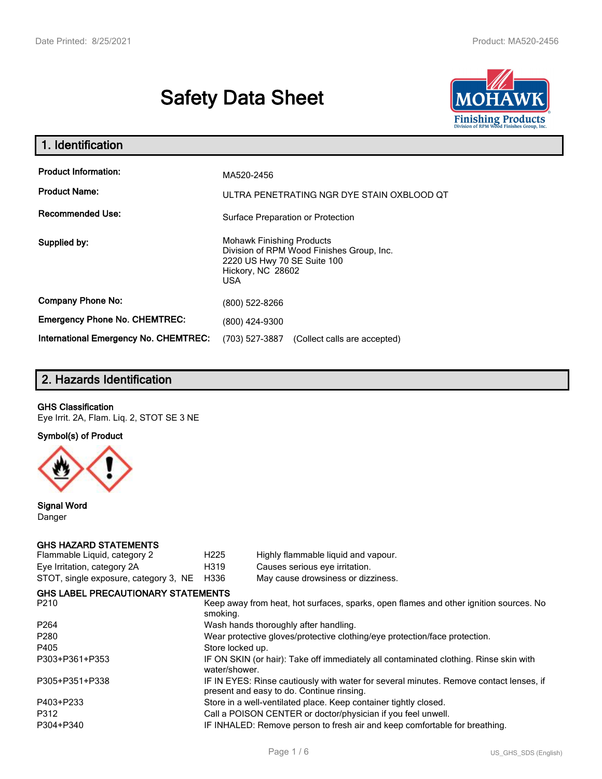# **Safety Data Sheet**



| 1. Identification                                   |                                                                                                                                                 |
|-----------------------------------------------------|-------------------------------------------------------------------------------------------------------------------------------------------------|
| <b>Product Information:</b><br><b>Product Name:</b> | MA520-2456<br>ULTRA PENETRATING NGR DYE STAIN OXBLOOD QT                                                                                        |
| <b>Recommended Use:</b>                             | Surface Preparation or Protection                                                                                                               |
| Supplied by:                                        | <b>Mohawk Finishing Products</b><br>Division of RPM Wood Finishes Group, Inc.<br>2220 US Hwy 70 SE Suite 100<br>Hickory, NC 28602<br><b>USA</b> |
| <b>Company Phone No:</b>                            | (800) 522-8266                                                                                                                                  |
| <b>Emergency Phone No. CHEMTREC:</b>                | (800) 424-9300                                                                                                                                  |
| <b>International Emergency No. CHEMTREC:</b>        | (703) 527-3887<br>(Collect calls are accepted)                                                                                                  |

# **2. Hazards Identification**

## **GHS Classification**

Eye Irrit. 2A, Flam. Liq. 2, STOT SE 3 NE

**Symbol(s) of Product**



**Signal Word** Danger

#### **GHS HAZARD STATEMENTS**

| H <sub>225</sub> | Highly flammable liquid and vapour.                                                                                                 |
|------------------|-------------------------------------------------------------------------------------------------------------------------------------|
| H319             | Causes serious eye irritation.                                                                                                      |
| H336             | May cause drowsiness or dizziness.                                                                                                  |
|                  |                                                                                                                                     |
| smoking.         | Keep away from heat, hot surfaces, sparks, open flames and other ignition sources. No                                               |
|                  | Wash hands thoroughly after handling.                                                                                               |
|                  | Wear protective gloves/protective clothing/eye protection/face protection.                                                          |
| Store locked up. |                                                                                                                                     |
| water/shower.    | IF ON SKIN (or hair): Take off immediately all contaminated clothing. Rinse skin with                                               |
|                  | IF IN EYES: Rinse cautiously with water for several minutes. Remove contact lenses, if<br>present and easy to do. Continue rinsing. |
|                  | Store in a well-ventilated place. Keep container tightly closed.                                                                    |
|                  | Call a POISON CENTER or doctor/physician if you feel unwell.                                                                        |
|                  | IF INHALED: Remove person to fresh air and keep comfortable for breathing.                                                          |
|                  | <b>GHS LABEL PRECAUTIONARY STATEMENTS</b>                                                                                           |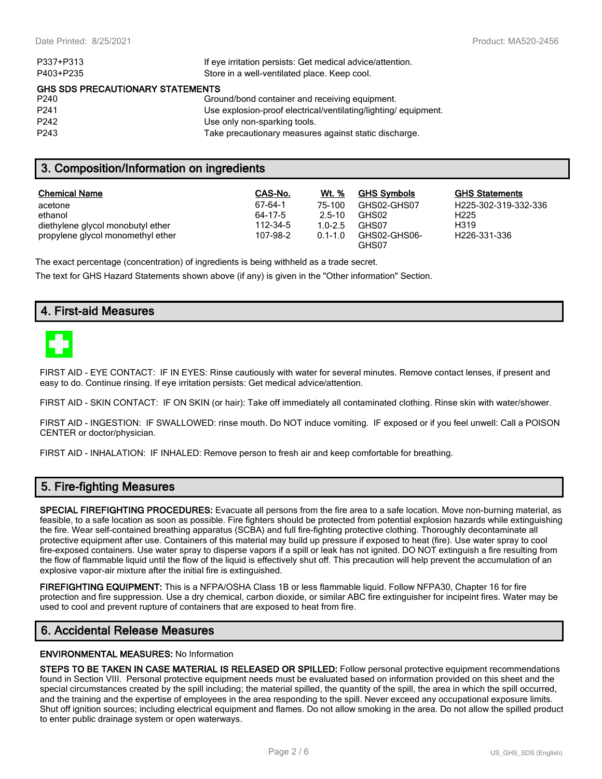| P337+P313                               | If eye irritation persists: Get medical advice/attention.      |  |  |  |  |
|-----------------------------------------|----------------------------------------------------------------|--|--|--|--|
| P403+P235                               | Store in a well-ventilated place. Keep cool.                   |  |  |  |  |
| <b>GHS SDS PRECAUTIONARY STATEMENTS</b> |                                                                |  |  |  |  |
| P <sub>240</sub>                        | Ground/bond container and receiving equipment.                 |  |  |  |  |
| P <sub>241</sub>                        | Use explosion-proof electrical/ventilating/lighting/equipment. |  |  |  |  |
| P <sub>242</sub>                        | Use only non-sparking tools.                                   |  |  |  |  |
| P <sub>243</sub>                        | Take precautionary measures against static discharge.          |  |  |  |  |

## **3. Composition/Information on ingredients**

| <b>Chemical Name</b>              | CAS-No.  | Wt. %       | <b>GHS Symbols</b>    | <b>GHS Statements</b>     |
|-----------------------------------|----------|-------------|-----------------------|---------------------------|
| acetone                           | 67-64-1  | 75-100      | GHS02-GHS07           | H225-302-319-332-336      |
| ethanol                           | 64-17-5  | $2.5 - 10$  | GHS02                 | H <sub>225</sub>          |
| diethylene glycol monobutyl ether | 112-34-5 | $1.0 - 2.5$ | GHS07                 | H319                      |
| propylene glycol monomethyl ether | 107-98-2 | $0.1 - 1.0$ | GHS02-GHS06-<br>GHS07 | H <sub>226</sub> -331-336 |

The exact percentage (concentration) of ingredients is being withheld as a trade secret.

The text for GHS Hazard Statements shown above (if any) is given in the "Other information" Section.

## **4. First-aid Measures**



FIRST AID - EYE CONTACT: IF IN EYES: Rinse cautiously with water for several minutes. Remove contact lenses, if present and easy to do. Continue rinsing. If eye irritation persists: Get medical advice/attention.

FIRST AID - SKIN CONTACT: IF ON SKIN (or hair): Take off immediately all contaminated clothing. Rinse skin with water/shower.

FIRST AID - INGESTION: IF SWALLOWED: rinse mouth. Do NOT induce vomiting. IF exposed or if you feel unwell: Call a POISON CENTER or doctor/physician.

FIRST AID - INHALATION: IF INHALED: Remove person to fresh air and keep comfortable for breathing.

## **5. Fire-fighting Measures**

**SPECIAL FIREFIGHTING PROCEDURES:** Evacuate all persons from the fire area to a safe location. Move non-burning material, as feasible, to a safe location as soon as possible. Fire fighters should be protected from potential explosion hazards while extinguishing the fire. Wear self-contained breathing apparatus (SCBA) and full fire-fighting protective clothing. Thoroughly decontaminate all protective equipment after use. Containers of this material may build up pressure if exposed to heat (fire). Use water spray to cool fire-exposed containers. Use water spray to disperse vapors if a spill or leak has not ignited. DO NOT extinguish a fire resulting from the flow of flammable liquid until the flow of the liquid is effectively shut off. This precaution will help prevent the accumulation of an explosive vapor-air mixture after the initial fire is extinguished.

**FIREFIGHTING EQUIPMENT:** This is a NFPA/OSHA Class 1B or less flammable liquid. Follow NFPA30, Chapter 16 for fire protection and fire suppression. Use a dry chemical, carbon dioxide, or similar ABC fire extinguisher for incipeint fires. Water may be used to cool and prevent rupture of containers that are exposed to heat from fire.

## **6. Accidental Release Measures**

#### **ENVIRONMENTAL MEASURES:** No Information

**STEPS TO BE TAKEN IN CASE MATERIAL IS RELEASED OR SPILLED:** Follow personal protective equipment recommendations found in Section VIII. Personal protective equipment needs must be evaluated based on information provided on this sheet and the special circumstances created by the spill including; the material spilled, the quantity of the spill, the area in which the spill occurred, and the training and the expertise of employees in the area responding to the spill. Never exceed any occupational exposure limits. Shut off ignition sources; including electrical equipment and flames. Do not allow smoking in the area. Do not allow the spilled product to enter public drainage system or open waterways.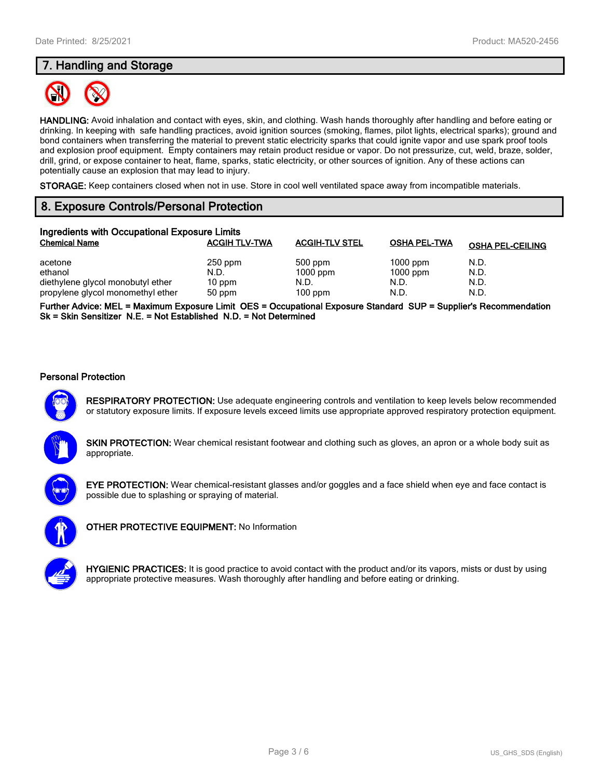# **7. Handling and Storage**



**HANDLING:** Avoid inhalation and contact with eyes, skin, and clothing. Wash hands thoroughly after handling and before eating or drinking. In keeping with safe handling practices, avoid ignition sources (smoking, flames, pilot lights, electrical sparks); ground and bond containers when transferring the material to prevent static electricity sparks that could ignite vapor and use spark proof tools and explosion proof equipment. Empty containers may retain product residue or vapor. Do not pressurize, cut, weld, braze, solder, drill, grind, or expose container to heat, flame, sparks, static electricity, or other sources of ignition. Any of these actions can potentially cause an explosion that may lead to injury.

**STORAGE:** Keep containers closed when not in use. Store in cool well ventilated space away from incompatible materials.

# **8. Exposure Controls/Personal Protection**

| Ingredients with Occupational Exposure Limits |                      |                       |                     |                         |  |  |
|-----------------------------------------------|----------------------|-----------------------|---------------------|-------------------------|--|--|
| <b>Chemical Name</b>                          | <b>ACGIH TLV-TWA</b> | <b>ACGIH-TLV STEL</b> | <b>OSHA PEL-TWA</b> | <b>OSHA PEL-CEILING</b> |  |  |
| acetone                                       | $250$ ppm            | 500 ppm               | $1000$ ppm          | N.D.                    |  |  |
| ethanol<br>diethylene glycol monobutyl ether  | N.D.<br>10 ppm       | $1000$ ppm<br>N.D.    | $1000$ ppm<br>N.D.  | N.D.<br>N.D.            |  |  |
| propylene glycol monomethyl ether             | 50 ppm               | $100$ ppm             | N.D.                | N.D.                    |  |  |

**Further Advice: MEL = Maximum Exposure Limit OES = Occupational Exposure Standard SUP = Supplier's Recommendation Sk = Skin Sensitizer N.E. = Not Established N.D. = Not Determined**

#### **Personal Protection**



**RESPIRATORY PROTECTION:** Use adequate engineering controls and ventilation to keep levels below recommended or statutory exposure limits. If exposure levels exceed limits use appropriate approved respiratory protection equipment.

**SKIN PROTECTION:** Wear chemical resistant footwear and clothing such as gloves, an apron or a whole body suit as appropriate.



**EYE PROTECTION:** Wear chemical-resistant glasses and/or goggles and a face shield when eye and face contact is possible due to splashing or spraying of material.



**OTHER PROTECTIVE EQUIPMENT:** No Information



**HYGIENIC PRACTICES:** It is good practice to avoid contact with the product and/or its vapors, mists or dust by using appropriate protective measures. Wash thoroughly after handling and before eating or drinking.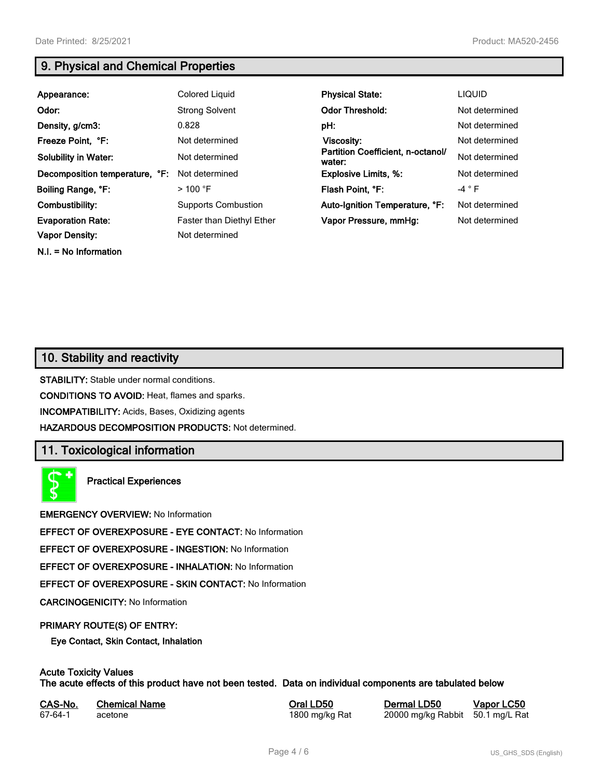**N.I. = No Information**

# **9. Physical and Chemical Properties**

| Appearance:                    | Colored Liquid             | <b>Physical State:</b>                      | <b>LIQUID</b>  |
|--------------------------------|----------------------------|---------------------------------------------|----------------|
| Odor:                          | <b>Strong Solvent</b>      | <b>Odor Threshold:</b>                      | Not determined |
| Density, g/cm3:                | 0.828                      | pH:                                         | Not determined |
| Freeze Point, °F:              | Not determined             | Viscosity:                                  | Not determined |
| <b>Solubility in Water:</b>    | Not determined             | Partition Coefficient, n-octanol/<br>water: | Not determined |
| Decomposition temperature, °F: | Not determined             | <b>Explosive Limits, %:</b>                 | Not determined |
| Boiling Range, °F:             | $>100$ °F                  | Flash Point. °F:                            | $-4 ° F$       |
| Combustibility:                | <b>Supports Combustion</b> | Auto-Ignition Temperature, °F:              | Not determined |
| <b>Evaporation Rate:</b>       | Faster than Diethyl Ether  | Vapor Pressure, mmHg:                       | Not determined |
| <b>Vapor Density:</b>          | Not determined             |                                             |                |

# **10. Stability and reactivity**

**STABILITY:** Stable under normal conditions.

**CONDITIONS TO AVOID:** Heat, flames and sparks.

**INCOMPATIBILITY:** Acids, Bases, Oxidizing agents

**HAZARDOUS DECOMPOSITION PRODUCTS:** Not determined.

## **11. Toxicological information**

**Practical Experiences**

**EMERGENCY OVERVIEW:** No Information

**EFFECT OF OVEREXPOSURE - EYE CONTACT:** No Information

**EFFECT OF OVEREXPOSURE - INGESTION:** No Information

**EFFECT OF OVEREXPOSURE - INHALATION:** No Information

**EFFECT OF OVEREXPOSURE - SKIN CONTACT:** No Information

**CARCINOGENICITY:** No Information

#### **PRIMARY ROUTE(S) OF ENTRY:**

**Eye Contact, Skin Contact, Inhalation**

# **Acute Toxicity Values**

**The acute effects of this product have not been tested. Data on individual components are tabulated below**

| CAS-No. | <b>Chemical Name</b> |
|---------|----------------------|
| 67-64-1 | acetone              |

**Casary Chemical Chemical LD50 Chemical LD50 Vapor LC50** 1800 mg/kg Rat 20000 mg/kg Rabbit 50.1 mg/L Rat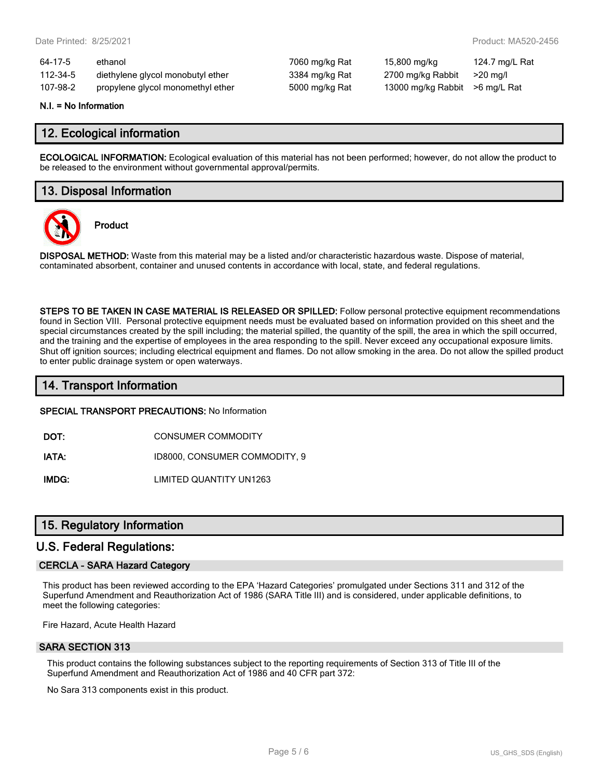| 64-17-5  | ethanol                           | 7060 mg/kg Rat | 15,800 mg/kg       | 124.7 mg/L Rat |
|----------|-----------------------------------|----------------|--------------------|----------------|
| 112-34-5 | diethylene glycol monobutyl ether | 3384 mg/kg Rat | 2700 mg/kg Rabbit  | $>20$ mg/l     |
| 107-98-2 | propylene glycol monomethyl ether | 5000 mg/kg Rat | 13000 mg/kg Rabbit | >6 mg/L Rat    |

#### **N.I. = No Information**

## **12. Ecological information**

**ECOLOGICAL INFORMATION:** Ecological evaluation of this material has not been performed; however, do not allow the product to be released to the environment without governmental approval/permits.

## **13. Disposal Information**



**Product**

**DISPOSAL METHOD:** Waste from this material may be a listed and/or characteristic hazardous waste. Dispose of material, contaminated absorbent, container and unused contents in accordance with local, state, and federal regulations.

**STEPS TO BE TAKEN IN CASE MATERIAL IS RELEASED OR SPILLED:** Follow personal protective equipment recommendations found in Section VIII. Personal protective equipment needs must be evaluated based on information provided on this sheet and the special circumstances created by the spill including; the material spilled, the quantity of the spill, the area in which the spill occurred, and the training and the expertise of employees in the area responding to the spill. Never exceed any occupational exposure limits. Shut off ignition sources; including electrical equipment and flames. Do not allow smoking in the area. Do not allow the spilled product to enter public drainage system or open waterways.

## **14. Transport Information**

#### **SPECIAL TRANSPORT PRECAUTIONS:** No Information

**DOT:** CONSUMER COMMODITY

**IATA:** ID8000, CONSUMER COMMODITY, 9

**IMDG:** LIMITED QUANTITY UN1263

## **15. Regulatory Information**

## **U.S. Federal Regulations:**

#### **CERCLA - SARA Hazard Category**

This product has been reviewed according to the EPA 'Hazard Categories' promulgated under Sections 311 and 312 of the Superfund Amendment and Reauthorization Act of 1986 (SARA Title III) and is considered, under applicable definitions, to meet the following categories:

Fire Hazard, Acute Health Hazard

#### **SARA SECTION 313**

This product contains the following substances subject to the reporting requirements of Section 313 of Title III of the Superfund Amendment and Reauthorization Act of 1986 and 40 CFR part 372:

No Sara 313 components exist in this product.